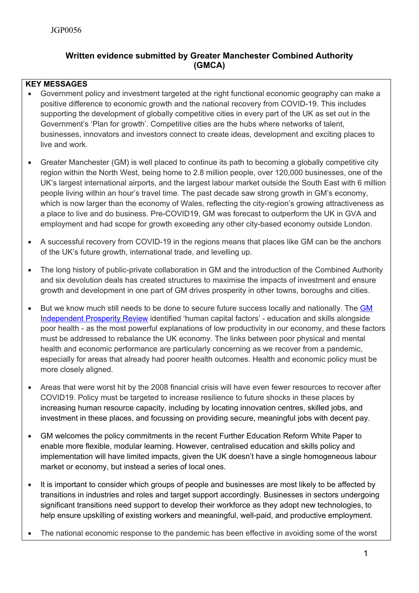# **Written evidence submitted by Greater Manchester Combined Authority (GMCA)**

## **KEY MESSAGES**

- Government policy and investment targeted at the right functional economic geography can make a positive difference to economic growth and the national recovery from COVID-19. This includes supporting the development of globally competitive cities in every part of the UK as set out in the Government's 'Plan for growth'. Competitive cities are the hubs where networks of talent, businesses, innovators and investors connect to create ideas, development and exciting places to live and work.
- Greater Manchester (GM) is well placed to continue its path to becoming a globally competitive city region within the North West, being home to 2.8 million people, over 120,000 businesses, one of the UK's largest international airports, and the largest labour market outside the South East with 6 million people living within an hour's travel time. The past decade saw strong growth in GM's economy, which is now larger than the economy of Wales, reflecting the city-region's growing attractiveness as a place to live and do business. Pre-COVID19, GM was forecast to outperform the UK in GVA and employment and had scope for growth exceeding any other city-based economy outside London.
- A successful recovery from COVID-19 in the regions means that places like GM can be the anchors of the UK's future growth, international trade, and levelling up.
- The long history of public-private collaboration in GM and the introduction of the Combined Authority and six devolution deals has created structures to maximise the impacts of investment and ensure growth and development in one part of GM drives prosperity in other towns, boroughs and cities.
- But we know much still needs to be done to secure future success locally and nationally. The [GM](https://www.greatermanchester-ca.gov.uk/what-we-do/economy/greater-manchester-independent-prosperity-review/) [Independent](https://www.greatermanchester-ca.gov.uk/what-we-do/economy/greater-manchester-independent-prosperity-review/) [Prosperity](https://www.greatermanchester-ca.gov.uk/what-we-do/economy/greater-manchester-independent-prosperity-review/) [Review](https://www.greatermanchester-ca.gov.uk/what-we-do/economy/greater-manchester-independent-prosperity-review/) identified 'human capital factors' - education and skills alongside poor health - as the most powerful explanations of low productivity in our economy, and these factors must be addressed to rebalance the UK economy. The links between poor physical and mental health and economic performance are particularly concerning as we recover from a pandemic, especially for areas that already had poorer health outcomes. Health and economic policy must be more closely aligned.
- Areas that were worst hit by the 2008 financial crisis will have even fewer resources to recover after COVID19. Policy must be targeted to increase resilience to future shocks in these places by increasing human resource capacity, including by locating innovation centres, skilled jobs, and investment in these places, and focussing on providing secure, meaningful jobs with decent pay.
- GM welcomes the policy commitments in the recent Further Education Reform White Paper to enable more flexible, modular learning. However, centralised education and skills policy and implementation will have limited impacts, given the UK doesn't have a single homogeneous labour market or economy, but instead a series of local ones.
- It is important to consider which groups of people and businesses are most likely to be affected by transitions in industries and roles and target support accordingly. Businesses in sectors undergoing significant transitions need support to develop their workforce as they adopt new technologies, to help ensure upskilling of existing workers and meaningful, well-paid, and productive employment.
- The national economic response to the pandemic has been effective in avoiding some of the worst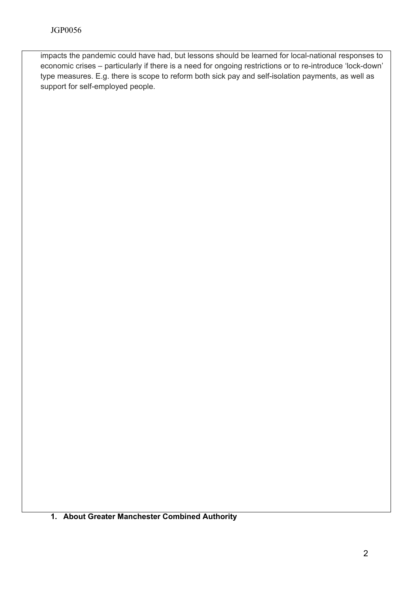impacts the pandemic could have had, but lessons should be learned for local-national responses to economic crises – particularly if there is a need for ongoing restrictions or to re-introduce 'lock-down' type measures. E.g. there is scope to reform both sick pay and self-isolation payments, as well as support for self-employed people.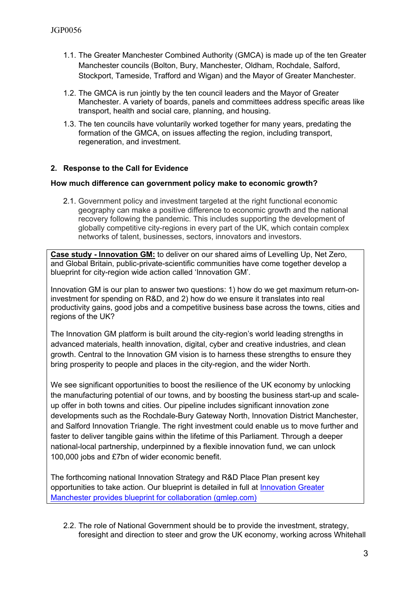- 1.1. The Greater Manchester Combined Authority (GMCA) is made up of the ten Greater Manchester councils (Bolton, Bury, Manchester, Oldham, Rochdale, Salford, Stockport, Tameside, Trafford and Wigan) and the Mayor of Greater Manchester.
- 1.2. The GMCA is run jointly by the ten council leaders and the Mayor of Greater Manchester. A variety of boards, panels and committees address specific areas like transport, health and social care, planning, and housing.
- 1.3. The ten councils have voluntarily worked together for many years, predating the formation of the GMCA, on issues affecting the region, including transport, regeneration, and investment.

### **2. Response to the Call for Evidence**

#### **How much difference can government policy make to economic growth?**

2.1. Government policy and investment targeted at the right functional economic geography can make a positive difference to economic growth and the national recovery following the pandemic. This includes supporting the development of globally competitive city-regions in every part of the UK, which contain complex networks of talent, businesses, sectors, innovators and investors.

**Case study - Innovation GM:** to deliver on our shared aims of Levelling Up, Net Zero, and Global Britain, public-private-scientific communities have come together develop a blueprint for city-region wide action called 'Innovation GM'.

Innovation GM is our plan to answer two questions: 1) how do we get maximum return-oninvestment for spending on R&D, and 2) how do we ensure it translates into real productivity gains, good jobs and a competitive business base across the towns, cities and regions of the UK?

The Innovation GM platform is built around the city-region's world leading strengths in advanced materials, health innovation, digital, cyber and creative industries, and clean growth. Central to the Innovation GM vision is to harness these strengths to ensure they bring prosperity to people and places in the city-region, and the wider North.

We see significant opportunities to boost the resilience of the UK economy by unlocking the manufacturing potential of our towns, and by boosting the business start-up and scaleup offer in both towns and cities. Our pipeline includes significant innovation zone developments such as the Rochdale-Bury Gateway North, Innovation District Manchester, and Salford Innovation Triangle. The right investment could enable us to move further and faster to deliver tangible gains within the lifetime of this Parliament. Through a deeper national-local partnership, underpinned by a flexible innovation fund, we can unlock 100,000 jobs and £7bn of wider economic benefit.

The forthcoming national Innovation Strategy and R&D Place Plan present key opportunities to take action. Our blueprint is detailed in full at [Innovation](https://gmlep.com/news/nnovation-greater-manchester-provides-blueprint-for-collaboration-with-government-to-create-7bn-economic-benefit) [Greater](https://gmlep.com/news/nnovation-greater-manchester-provides-blueprint-for-collaboration-with-government-to-create-7bn-economic-benefit) [Manchester](https://gmlep.com/news/nnovation-greater-manchester-provides-blueprint-for-collaboration-with-government-to-create-7bn-economic-benefit) [provides](https://gmlep.com/news/nnovation-greater-manchester-provides-blueprint-for-collaboration-with-government-to-create-7bn-economic-benefit) [blueprint](https://gmlep.com/news/nnovation-greater-manchester-provides-blueprint-for-collaboration-with-government-to-create-7bn-economic-benefit) [for](https://gmlep.com/news/nnovation-greater-manchester-provides-blueprint-for-collaboration-with-government-to-create-7bn-economic-benefit) [collaboration](https://gmlep.com/news/nnovation-greater-manchester-provides-blueprint-for-collaboration-with-government-to-create-7bn-economic-benefit) [\(gmlep.com\)](https://gmlep.com/news/nnovation-greater-manchester-provides-blueprint-for-collaboration-with-government-to-create-7bn-economic-benefit)

2.2. The role of National Government should be to provide the investment, strategy, foresight and direction to steer and grow the UK economy, working across Whitehall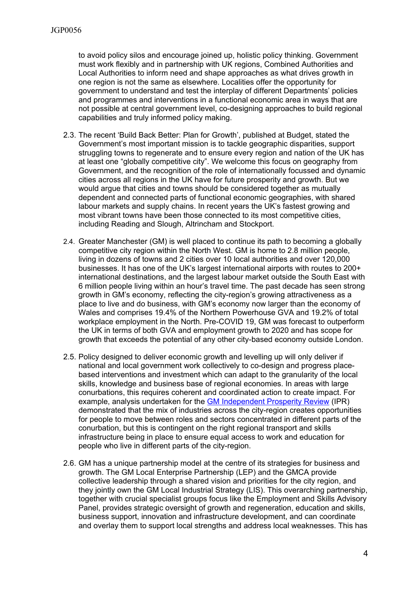to avoid policy silos and encourage joined up, holistic policy thinking. Government must work flexibly and in partnership with UK regions, Combined Authorities and Local Authorities to inform need and shape approaches as what drives growth in one region is not the same as elsewhere. Localities offer the opportunity for government to understand and test the interplay of different Departments' policies and programmes and interventions in a functional economic area in ways that are not possible at central government level, co-designing approaches to build regional capabilities and truly informed policy making.

- 2.3. The recent 'Build Back Better: Plan for Growth', published at Budget, stated the Government's most important mission is to tackle geographic disparities, support struggling towns to regenerate and to ensure every region and nation of the UK has at least one "globally competitive city". We welcome this focus on geography from Government, and the recognition of the role of internationally focussed and dynamic cities across all regions in the UK have for future prosperity and growth. But we would argue that cities and towns should be considered together as mutually dependent and connected parts of functional economic geographies, with shared labour markets and supply chains. In recent years the UK's fastest growing and most vibrant towns have been those connected to its most competitive cities, including Reading and Slough, Altrincham and Stockport.
- 2.4. Greater Manchester (GM) is well placed to continue its path to becoming a globally competitive city region within the North West. GM is home to 2.8 million people, living in dozens of towns and 2 cities over 10 local authorities and over 120,000 businesses. It has one of the UK's largest international airports with routes to 200+ international destinations, and the largest labour market outside the South East with 6 million people living within an hour's travel time. The past decade has seen strong growth in GM's economy, reflecting the city-region's growing attractiveness as a place to live and do business, with GM's economy now larger than the economy of Wales and comprises 19.4% of the Northern Powerhouse GVA and 19.2% of total workplace employment in the North. Pre-COVID 19, GM was forecast to outperform the UK in terms of both GVA and employment growth to 2020 and has scope for growth that exceeds the potential of any other city-based economy outside London.
- 2.5. Policy designed to deliver economic growth and levelling up will only deliver if national and local government work collectively to co-design and progress placebased interventions and investment which can adapt to the granularity of the local skills, knowledge and business base of regional economies. In areas with large conurbations, this requires coherent and [c](https://www.greatermanchester-ca.gov.uk/media/1913/gmipr_tr_economiccomplexityanalysis.pdf)oordinated action to create impact. For example, analysis undertaken for the [GM](https://www.greatermanchester-ca.gov.uk/media/1913/gmipr_tr_economiccomplexityanalysis.pdf) [Independent](https://www.greatermanchester-ca.gov.uk/media/1913/gmipr_tr_economiccomplexityanalysis.pdf) [Prosperity](https://www.greatermanchester-ca.gov.uk/media/1913/gmipr_tr_economiccomplexityanalysis.pdf) [Review](https://www.greatermanchester-ca.gov.uk/media/1913/gmipr_tr_economiccomplexityanalysis.pdf) (IPR) demonstrated that the mix of industries across the city-region creates opportunities for people to move between roles and sectors concentrated in different parts of the conurbation, but this is contingent on the right regional transport and skills infrastructure being in place to ensure equal access to work and education for people who live in different parts of the city-region.
- 2.6. GM has a unique partnership model at the centre of its strategies for business and growth. The GM Local Enterprise Partnership (LEP) and the GMCA provide collective leadership through a shared vision and priorities for the city region, and they jointly own the GM Local Industrial Strategy (LIS). This overarching partnership, together with crucial specialist groups focus like the Employment and Skills Advisory Panel, provides strategic oversight of growth and regeneration, education and skills, business support, innovation and infrastructure development, and can coordinate and overlay them to support local strengths and address local weaknesses. This has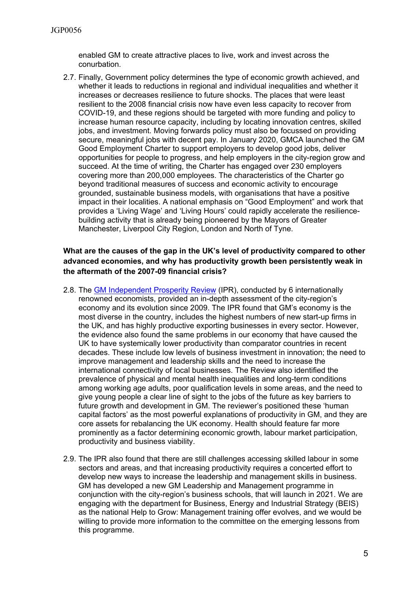enabled GM to create attractive places to live, work and invest across the conurbation.

2.7. Finally, Government policy determines the type of economic growth achieved, and whether it leads to reductions in regional and individual inequalities and whether it increases or decreases resilience to future shocks. The places that were least resilient to the 2008 financial crisis now have even less capacity to recover from COVID-19, and these regions should be targeted with more funding and policy to increase human resource capacity, including by locating innovation centres, skilled jobs, and investment. Moving forwards policy must also be focussed on providing secure, meaningful jobs with decent pay. In January 2020, GMCA launched the GM Good Employment Charter to support employers to develop good jobs, deliver opportunities for people to progress, and help employers in the city-region grow and succeed. At the time of writing, the Charter has engaged over 230 employers covering more than 200,000 employees. The characteristics of the Charter go beyond traditional measures of success and economic activity to encourage grounded, sustainable business models, with organisations that have a positive impact in their localities. A national emphasis on "Good Employment" and work that provides a 'Living Wage' and 'Living Hours' could rapidly accelerate the resiliencebuilding activity that is already being pioneered by the Mayors of Greater Manchester, Liverpool City Region, London and North of Tyne.

### **What are the causes of the gap in the UK's level of productivity compared to other advanced economies, and why has productivity growth been persistently weak in the aftermath of the 2007-09 financial crisis?**

- 2.8. The [GM](https://www.greatermanchester-ca.gov.uk/what-we-do/economy/greater-manchester-independent-prosperity-review/) [Independent](https://www.greatermanchester-ca.gov.uk/what-we-do/economy/greater-manchester-independent-prosperity-review/) [Prosperity](https://www.greatermanchester-ca.gov.uk/what-we-do/economy/greater-manchester-independent-prosperity-review/) [Review](https://www.greatermanchester-ca.gov.uk/what-we-do/economy/greater-manchester-independent-prosperity-review/) (IPR), conducted by 6 internationally renowned economists, provided an in-depth assessment of the city-region's economy and its evolution since 2009. The IPR found that GM's economy is the most diverse in the country, includes the highest numbers of new start-up firms in the UK, and has highly productive exporting businesses in every sector. However, the evidence also found the same problems in our economy that have caused the UK to have systemically lower productivity than comparator countries in recent decades. These include low levels of business investment in innovation; the need to improve management and leadership skills and the need to increase the international connectivity of local businesses. The Review also identified the prevalence of physical and mental health inequalities and long-term conditions among working age adults, poor qualification levels in some areas, and the need to give young people a clear line of sight to the jobs of the future as key barriers to future growth and development in GM. The reviewer's positioned these 'human capital factors' as the most powerful explanations of productivity in GM, and they are core assets for rebalancing the UK economy. Health should feature far more prominently as a factor determining economic growth, labour market participation, productivity and business viability.
- 2.9. The IPR also found that there are still challenges accessing skilled labour in some sectors and areas, and that increasing productivity requires a concerted effort to develop new ways to increase the leadership and management skills in business. GM has developed a new GM Leadership and Management programme in conjunction with the city-region's business schools, that will launch in 2021. We are engaging with the department for Business, Energy and Industrial Strategy (BEIS) as the national Help to Grow: Management training offer evolves, and we would be willing to provide more information to the committee on the emerging lessons from this programme.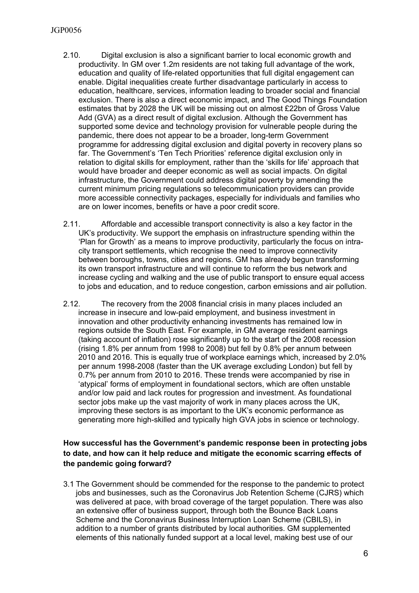#### JGP0056

- 2.10. Digital exclusion is also a significant barrier to local economic growth and productivity. In GM over 1.2m residents are not taking full advantage of the work, education and quality of life-related opportunities that full digital engagement can enable. Digital inequalities create further disadvantage particularly in access to education, healthcare, services, information leading to broader social and financial exclusion. There is also a direct economic impact, and The Good Things Foundation estimates that by 2028 the UK will be missing out on almost £22bn of Gross Value Add (GVA) as a direct result of digital exclusion. Although the Government has supported some device and technology provision for vulnerable people during the pandemic, there does not appear to be a broader, long-term Government programme for addressing digital exclusion and digital poverty in recovery plans so far. The Government's 'Ten Tech Priorities' reference digital exclusion only in relation to digital skills for employment, rather than the 'skills for life' approach that would have broader and deeper economic as well as social impacts. On digital infrastructure, the Government could address digital poverty by amending the current minimum pricing regulations so telecommunication providers can provide more accessible connectivity packages, especially for individuals and families who are on lower incomes, benefits or have a poor credit score.
- 2.11. Affordable and accessible transport connectivity is also a key factor in the UK's productivity. We support the emphasis on infrastructure spending within the 'Plan for Growth' as a means to improve productivity, particularly the focus on intracity transport settlements, which recognise the need to improve connectivity between boroughs, towns, cities and regions. GM has already begun transforming its own transport infrastructure and will continue to reform the bus network and increase cycling and walking and the use of public transport to ensure equal access to jobs and education, and to reduce congestion, carbon emissions and air pollution.
- 2.12. The recovery from the 2008 financial crisis in many places included an increase in insecure and low-paid employment, and business investment in innovation and other productivity enhancing investments has remained low in regions outside the South East. For example, in GM average resident earnings (taking account of inflation) rose significantly up to the start of the 2008 recession (rising 1.8% per annum from 1998 to 2008) but fell by 0.8% per annum between 2010 and 2016. This is equally true of workplace earnings which, increased by 2.0% per annum 1998-2008 (faster than the UK average excluding London) but fell by 0.7% per annum from 2010 to 2016. These trends were accompanied by rise in 'atypical' forms of employment in foundational sectors, which are often unstable and/or low paid and lack routes for progression and investment. As foundational sector jobs make up the vast majority of work in many places across the UK, improving these sectors is as important to the UK's economic performance as generating more high-skilled and typically high GVA jobs in science or technology.

### **How successful has the Government's pandemic response been in protecting jobs to date, and how can it help reduce and mitigate the economic scarring effects of the pandemic going forward?**

3.1 The Government should be commended for the response to the pandemic to protect jobs and businesses, such as the Coronavirus Job Retention Scheme (CJRS) which was delivered at pace, with broad coverage of the target population. There was also an extensive offer of business support, through both the Bounce Back Loans Scheme and the Coronavirus Business Interruption Loan Scheme (CBILS), in addition to a number of grants distributed by local authorities. GM supplemented elements of this nationally funded support at a local level, making best use of our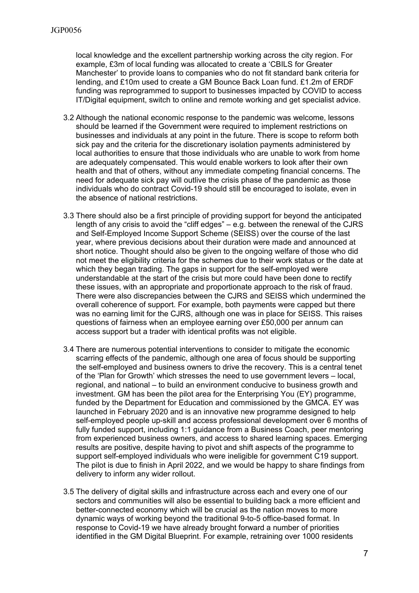local knowledge and the excellent partnership working across the city region. For example, £3m of local funding was allocated to create a 'CBILS for Greater Manchester' to provide loans to companies who do not fit standard bank criteria for lending, and £10m used to create a GM Bounce Back Loan fund. £1.2m of ERDF funding was reprogrammed to support to businesses impacted by COVID to access IT/Digital equipment, switch to online and remote working and get specialist advice.

- 3.2 Although the national economic response to the pandemic was welcome, lessons should be learned if the Government were required to implement restrictions on businesses and individuals at any point in the future. There is scope to reform both sick pay and the criteria for the discretionary isolation payments administered by local authorities to ensure that those individuals who are unable to work from home are adequately compensated. This would enable workers to look after their own health and that of others, without any immediate competing financial concerns. The need for adequate sick pay will outlive the crisis phase of the pandemic as those individuals who do contract Covid-19 should still be encouraged to isolate, even in the absence of national restrictions.
- 3.3 There should also be a first principle of providing support for beyond the anticipated length of any crisis to avoid the "cliff edges" – e.g. between the renewal of the CJRS and Self-Employed Income Support Scheme (SEISS) over the course of the last year, where previous decisions about their duration were made and announced at short notice. Thought should also be given to the ongoing welfare of those who did not meet the eligibility criteria for the schemes due to their work status or the date at which they began trading. The gaps in support for the self-employed were understandable at the start of the crisis but more could have been done to rectify these issues, with an appropriate and proportionate approach to the risk of fraud. There were also discrepancies between the CJRS and SEISS which undermined the overall coherence of support. For example, both payments were capped but there was no earning limit for the CJRS, although one was in place for SEISS. This raises questions of fairness when an employee earning over £50,000 per annum can access support but a trader with identical profits was not eligible.
- 3.4 There are numerous potential interventions to consider to mitigate the economic scarring effects of the pandemic, although one area of focus should be supporting the self-employed and business owners to drive the recovery. This is a central tenet of the 'Plan for Growth' which stresses the need to use government levers – local, regional, and national – to build an environment conducive to business growth and investment. GM has been the pilot area for the Enterprising You (EY) programme, funded by the Department for Education and commissioned by the GMCA. EY was launched in February 2020 and is an innovative new programme designed to help self-employed people up-skill and access professional development over 6 months of fully funded support, including 1:1 guidance from a Business Coach, peer mentoring from experienced business owners, and access to shared learning spaces. Emerging results are positive, despite having to pivot and shift aspects of the programme to support self-employed individuals who were ineligible for government C19 support. The pilot is due to finish in April 2022, and we would be happy to share findings from delivery to inform any wider rollout.
- 3.5 The delivery of digital skills and infrastructure across each and every one of our sectors and communities will also be essential to building back a more efficient and better-connected economy which will be crucial as the nation moves to more dynamic ways of working beyond the traditional 9-to-5 office-based format. In response to Covid-19 we have already brought forward a number of priorities identified in the GM Digital Blueprint. For example, retraining over 1000 residents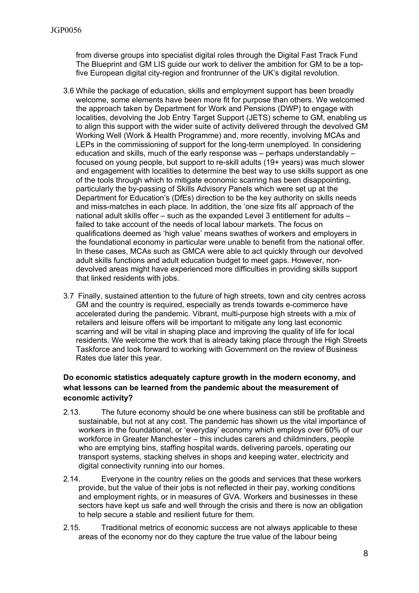from diverse groups into specialist digital roles through the Digital Fast Track Fund The Blueprint and GM LIS guide our work to deliver the ambition for GM to be a topfive European digital city-region and frontrunner of the UK's digital revolution.

- 3.6 While the package of education, skills and employment support has been broadly welcome, some elements have been more fit for purpose than others. We welcomed the approach taken by Department for Work and Pensions (DWP) to engage with localities, devolving the Job Entry Target Support (JETS) scheme to GM, enabling us to align this support with the wider suite of activity delivered through the devolved GM Working Well (Work & Health Programme) and, more recently, involving MCAs and LEPs in the commissioning of support for the long-term unemployed. In considering education and skills, much of the early response was – perhaps understandably – focused on young people, but support to re-skill adults (19+ years) was much slower and engagement with localities to determine the best way to use skills support as one of the tools through which to mitigate economic scarring has been disappointing, particularly the by-passing of Skills Advisory Panels which were set up at the Department for Education's (DfEs) direction to be the key authority on skills needs and miss-matches in each place. In addition, the 'one size fits all' approach of the national adult skills offer – such as the expanded Level 3 entitlement for adults – failed to take account of the needs of local labour markets. The focus on qualifications deemed as 'high value' means swathes of workers and employers in the foundational economy in particular were unable to benefit from the national offer. In these cases, MCAs such as GMCA were able to act quickly through our devolved adult skills functions and adult education budget to meet gaps. However, nondevolved areas might have experienced more difficulties in providing skills support that linked residents with jobs.
- 3.7 Finally, sustained attention to the future of high streets, town and city centres across GM and the country is required, especially as trends towards e-commerce have accelerated during the pandemic. Vibrant, multi-purpose high streets with a mix of retailers and leisure offers will be important to mitigate any long last economic scarring and will be vital in shaping place and improving the quality of life for local residents. We welcome the work that is already taking place through the High Streets Taskforce and look forward to working with Government on the review of Business Rates due later this year.

### **Do economic statistics adequately capture growth in the modern economy, and what lessons can be learned from the pandemic about the measurement of economic activity?**

- 2.13. The future economy should be one where business can still be profitable and sustainable, but not at any cost. The pandemic has shown us the vital importance of workers in the foundational, or 'everyday' economy which employs over 60% of our workforce in Greater Manchester – this includes carers and childminders, people who are emptying bins, staffing hospital wards, delivering parcels, operating our transport systems, stacking shelves in shops and keeping water, electricity and digital connectivity running into our homes.
- 2.14. Everyone in the country relies on the goods and services that these workers provide, but the value of their jobs is not reflected in their pay, working conditions and employment rights, or in measures of GVA. Workers and businesses in these sectors have kept us safe and well through the crisis and there is now an obligation to help secure a stable and resilient future for them.
- 2.15. Traditional metrics of economic success are not always applicable to these areas of the economy nor do they capture the true value of the labour being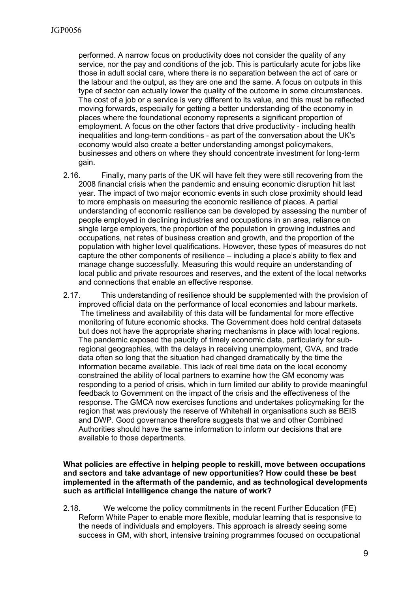performed. A narrow focus on productivity does not consider the quality of any service, nor the pay and conditions of the job. This is particularly acute for jobs like those in adult social care, where there is no separation between the act of care or the labour and the output, as they are one and the same. A focus on outputs in this type of sector can actually lower the quality of the outcome in some circumstances. The cost of a job or a service is very different to its value, and this must be reflected moving forwards, especially for getting a better understanding of the economy in places where the foundational economy represents a significant proportion of employment. A focus on the other factors that drive productivity - including health inequalities and long-term conditions - as part of the conversation about the UK's economy would also create a better understanding amongst policymakers, businesses and others on where they should concentrate investment for long-term gain.

- 2.16. Finally, many parts of the UK will have felt they were still recovering from the 2008 financial crisis when the pandemic and ensuing economic disruption hit last year. The impact of two major economic events in such close proximity should lead to more emphasis on measuring the economic resilience of places. A partial understanding of economic resilience can be developed by assessing the number of people employed in declining industries and occupations in an area, reliance on single large employers, the proportion of the population in growing industries and occupations, net rates of business creation and growth, and the proportion of the population with higher level qualifications. However, these types of measures do not capture the other components of resilience – including a place's ability to flex and manage change successfully. Measuring this would require an understanding of local public and private resources and reserves, and the extent of the local networks and connections that enable an effective response.
- 2.17. This understanding of resilience should be supplemented with the provision of improved official data on the performance of local economies and labour markets. The timeliness and availability of this data will be fundamental for more effective monitoring of future economic shocks. The Government does hold central datasets but does not have the appropriate sharing mechanisms in place with local regions. The pandemic exposed the paucity of timely economic data, particularly for subregional geographies, with the delays in receiving unemployment, GVA, and trade data often so long that the situation had changed dramatically by the time the information became available. This lack of real time data on the local economy constrained the ability of local partners to examine how the GM economy was responding to a period of crisis, which in turn limited our ability to provide meaningful feedback to Government on the impact of the crisis and the effectiveness of the response. The GMCA now exercises functions and undertakes policymaking for the region that was previously the reserve of Whitehall in organisations such as BEIS and DWP. Good governance therefore suggests that we and other Combined Authorities should have the same information to inform our decisions that are available to those departments.

#### **What policies are effective in helping people to reskill, move between occupations and sectors and take advantage of new opportunities? How could these be best implemented in the aftermath of the pandemic, and as technological developments such as artificial intelligence change the nature of work?**

2.18. We welcome the policy commitments in the recent Further Education (FE) Reform White Paper to enable more flexible, modular learning that is responsive to the needs of individuals and employers. This approach is already seeing some success in GM, with short, intensive training programmes focused on occupational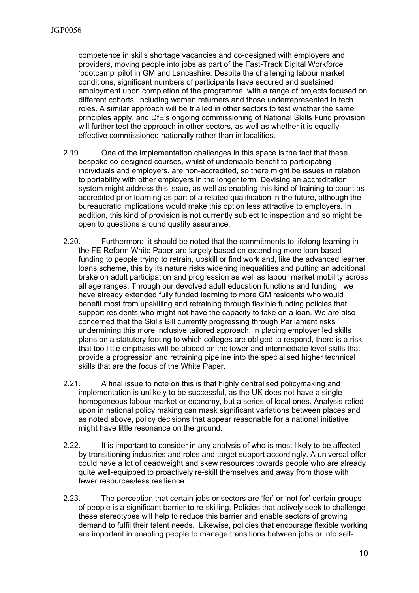competence in skills shortage vacancies and co-designed with employers and providers, moving people into jobs as part of the Fast-Track Digital Workforce 'bootcamp' pilot in GM and Lancashire. Despite the challenging labour market conditions, significant numbers of participants have secured and sustained employment upon completion of the programme, with a range of projects focused on different cohorts, including women returners and those underrepresented in tech roles. A similar approach will be trialled in other sectors to test whether the same principles apply, and DfE's ongoing commissioning of National Skills Fund provision will further test the approach in other sectors, as well as whether it is equally effective commissioned nationally rather than in localities.

- 2.19. One of the implementation challenges in this space is the fact that these bespoke co-designed courses, whilst of undeniable benefit to participating individuals and employers, are non-accredited, so there might be issues in relation to portability with other employers in the longer term. Devising an accreditation system might address this issue, as well as enabling this kind of training to count as accredited prior learning as part of a related qualification in the future, although the bureaucratic implications would make this option less attractive to employers. In addition, this kind of provision is not currently subject to inspection and so might be open to questions around quality assurance.
- 2.20. Furthermore, it should be noted that the commitments to lifelong learning in the FE Reform White Paper are largely based on extending more loan-based funding to people trying to retrain, upskill or find work and, like the advanced learner loans scheme, this by its nature risks widening inequalities and putting an additional brake on adult participation and progression as well as labour market mobility across all age ranges. Through our devolved adult education functions and funding, we have already extended fully funded learning to more GM residents who would benefit most from upskilling and retraining through flexible funding policies that support residents who might not have the capacity to take on a loan. We are also concerned that the Skills Bill currently progressing through Parliament risks undermining this more inclusive tailored approach: in placing employer led skills plans on a statutory footing to which colleges are obliged to respond, there is a risk that too little emphasis will be placed on the lower and intermediate level skills that provide a progression and retraining pipeline into the specialised higher technical skills that are the focus of the White Paper.
- 2.21. A final issue to note on this is that highly centralised policymaking and implementation is unlikely to be successful, as the UK does not have a single homogeneous labour market or economy, but a series of local ones. Analysis relied upon in national policy making can mask significant variations between places and as noted above, policy decisions that appear reasonable for a national initiative might have little resonance on the ground.
- 2.22. It is important to consider in any analysis of who is most likely to be affected by transitioning industries and roles and target support accordingly. A universal offer could have a lot of deadweight and skew resources towards people who are already quite well-equipped to proactively re-skill themselves and away from those with fewer resources/less resilience.
- 2.23. The perception that certain jobs or sectors are 'for' or 'not for' certain groups of people is a significant barrier to re-skilling. Policies that actively seek to challenge these stereotypes will help to reduce this barrier and enable sectors of growing demand to fulfil their talent needs. Likewise, policies that encourage flexible working are important in enabling people to manage transitions between jobs or into self-